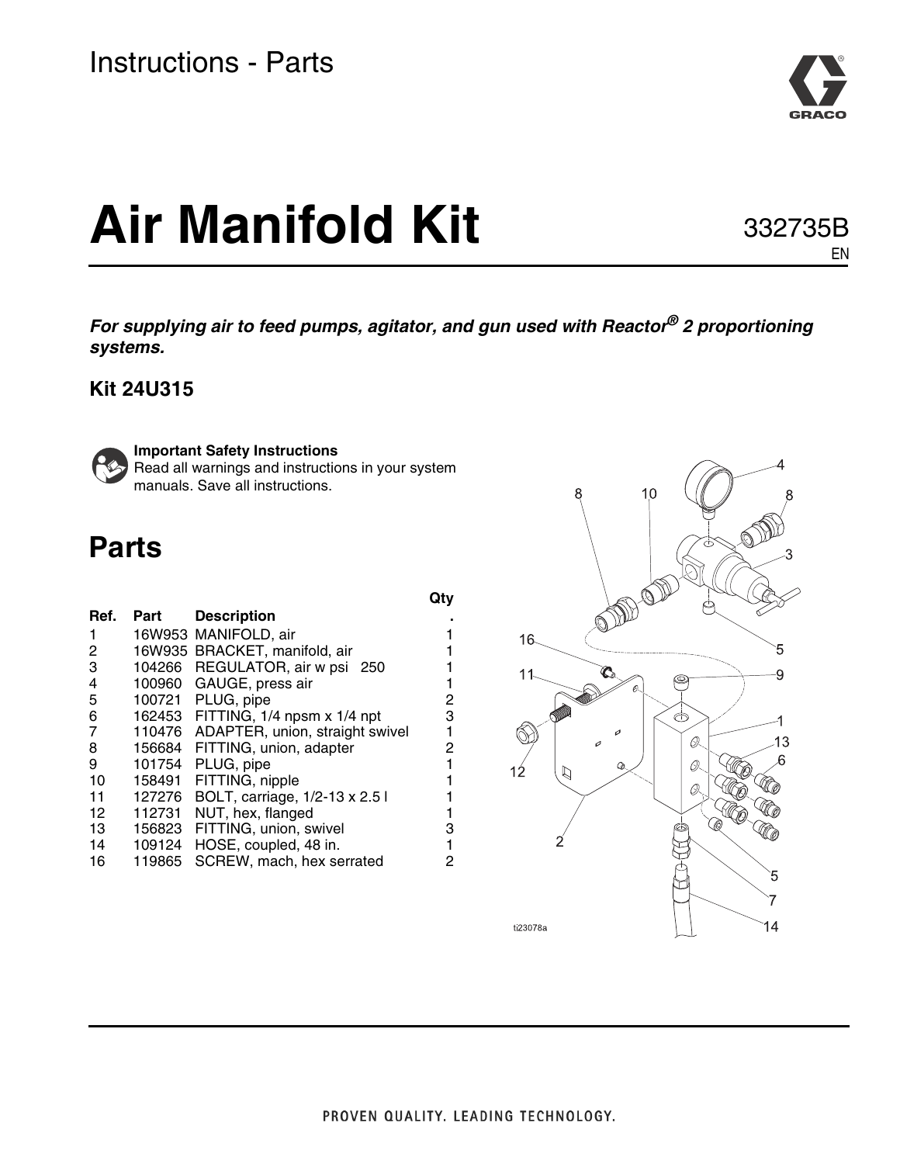

# **Air Manifold Kit**

332735B EN

*For supplying air to feed pumps, agitator, and gun used with Reactor® 2 proportioning systems.*

### **Kit 24U315**



**Important Safety Instructions**

Read all warnings and instructions in your system manuals. Save all instructions.

## **Parts**

| Ref.            | Part   | <b>Description</b>                 |   |
|-----------------|--------|------------------------------------|---|
| 1               |        | 16W953 MANIFOLD, air               |   |
| $\mathbf{2}$    |        | 16W935 BRACKET, manifold, air      |   |
| 3               |        | 104266 REGULATOR, air w psi 250    |   |
| 4               | 100960 | GAUGE, press air                   | 1 |
| 5               | 100721 | PLUG, pipe                         | 2 |
| 6               |        | 162453 FITTING, 1/4 npsm x 1/4 npt | 3 |
| $\overline{7}$  | 110476 | ADAPTER, union, straight swivel    | 1 |
| 8               | 156684 | FITTING, union, adapter            | 2 |
| 9               | 101754 | PLUG, pipe                         |   |
| 10              | 158491 | FITTING, nipple                    | 1 |
| 11              | 127276 | BOLT, carriage, 1/2-13 x 2.5 l     |   |
| 12 <sup>2</sup> | 112731 | NUT, hex, flanged                  | 1 |
| 13              | 156823 | FITTING, union, swivel             | 3 |
| 14              | 109124 | HOSE, coupled, 48 in.              | 1 |
| 16              | 119865 | SCREW, mach, hex serrated          | 2 |